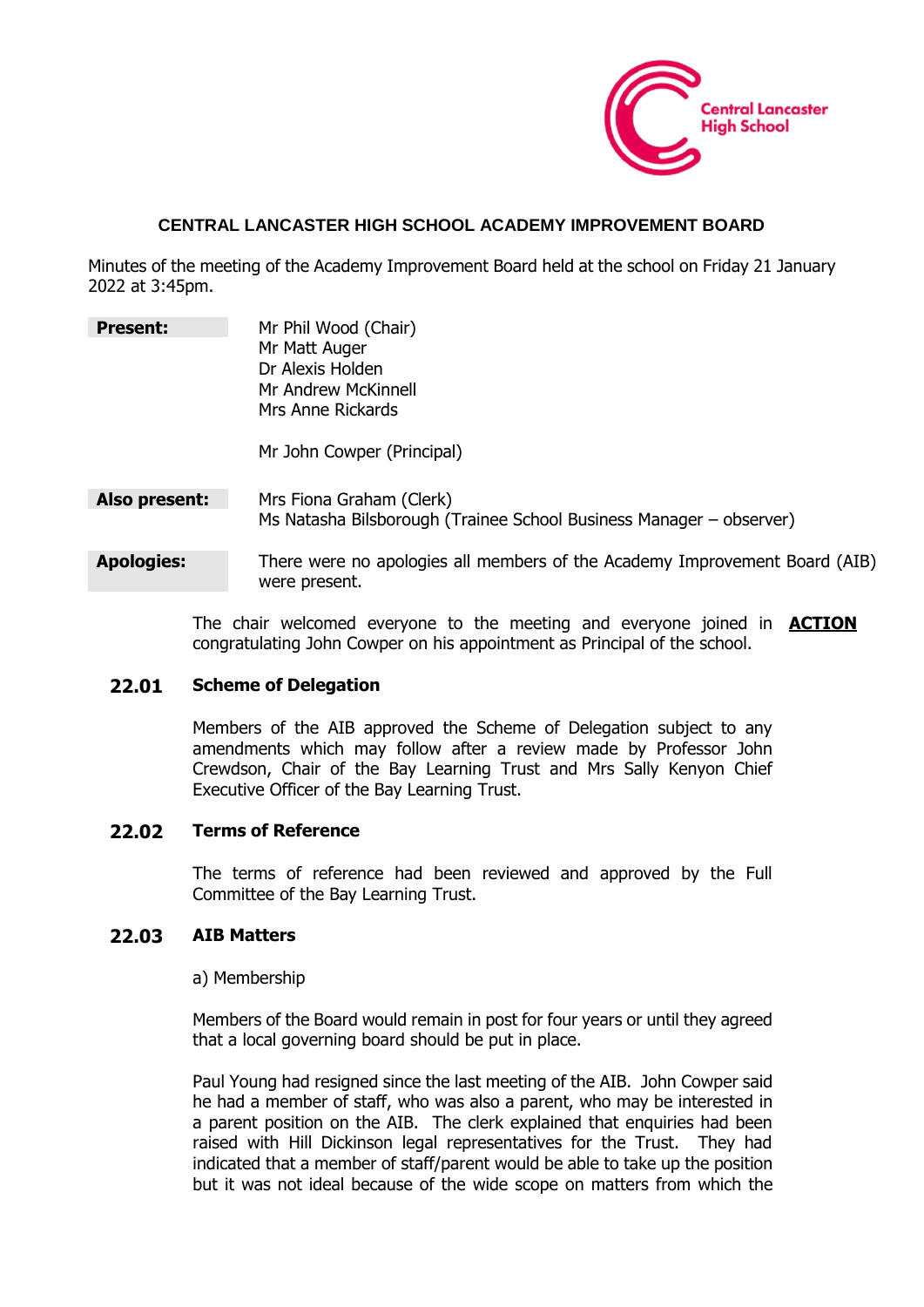

#### **CENTRAL LANCASTER HIGH SCHOOL ACADEMY IMPROVEMENT BOARD**

Minutes of the meeting of the Academy Improvement Board held at the school on Friday 21 January 2022 at 3:45pm.

| <b>Present:</b>   | Mr Phil Wood (Chair)<br>Mr Matt Auger<br>Dr Alexis Holden<br>Mr Andrew McKinnell<br>Mrs Anne Rickards<br>Mr John Cowper (Principal) |
|-------------------|-------------------------------------------------------------------------------------------------------------------------------------|
| Also present:     | Mrs Fiona Graham (Clerk)<br>Ms Natasha Bilsborough (Trainee School Business Manager – observer)                                     |
| <b>Apologies:</b> | There were no apologies all members of the Academy Improvement Board (AIB)<br>were present.                                         |

The chair welcomed everyone to the meeting and everyone joined in **ACTION** congratulating John Cowper on his appointment as Principal of the school.

#### **22.01 Scheme of Delegation**

Members of the AIB approved the Scheme of Delegation subject to any amendments which may follow after a review made by Professor John Crewdson, Chair of the Bay Learning Trust and Mrs Sally Kenyon Chief Executive Officer of the Bay Learning Trust.

#### **22.02 Terms of Reference**

The terms of reference had been reviewed and approved by the Full Committee of the Bay Learning Trust.

#### **22.03 AIB Matters**

#### a) Membership

Members of the Board would remain in post for four years or until they agreed that a local governing board should be put in place.

Paul Young had resigned since the last meeting of the AIB. John Cowper said he had a member of staff, who was also a parent, who may be interested in a parent position on the AIB. The clerk explained that enquiries had been raised with Hill Dickinson legal representatives for the Trust. They had indicated that a member of staff/parent would be able to take up the position but it was not ideal because of the wide scope on matters from which the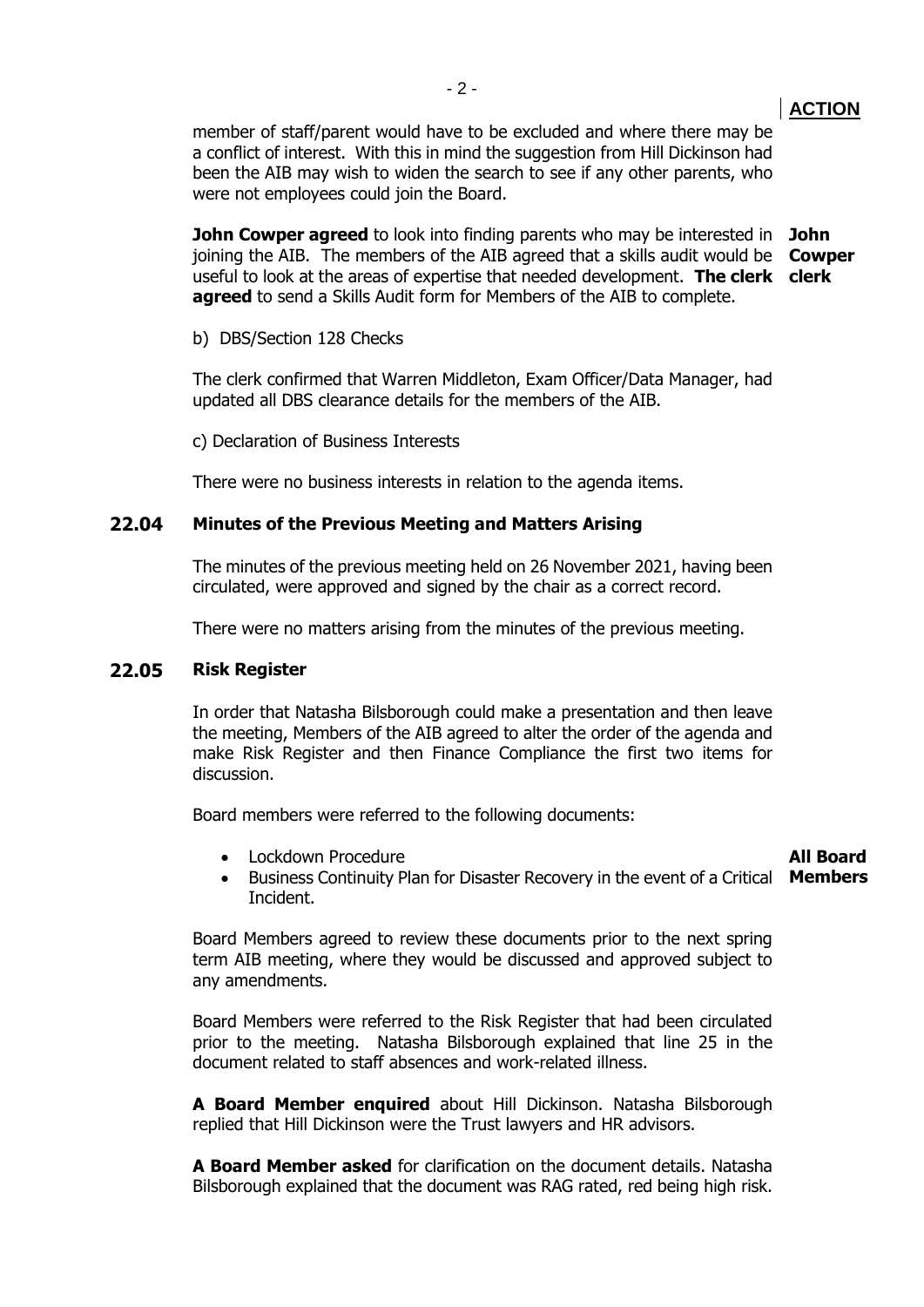member of staff/parent would have to be excluded and where there may be a conflict of interest. With this in mind the suggestion from Hill Dickinson had been the AIB may wish to widen the search to see if any other parents, who were not employees could join the Board.

**John Cowper agreed** to look into finding parents who may be interested in **John**  joining the AIB. The members of the AIB agreed that a skills audit would be **Cowper** useful to look at the areas of expertise that needed development. **The clerk clerk agreed** to send a Skills Audit form for Members of the AIB to complete.

b) DBS/Section 128 Checks

The clerk confirmed that Warren Middleton, Exam Officer/Data Manager, had updated all DBS clearance details for the members of the AIB.

c) Declaration of Business Interests

There were no business interests in relation to the agenda items.

#### **22.04 Minutes of the Previous Meeting and Matters Arising**

The minutes of the previous meeting held on 26 November 2021, having been circulated, were approved and signed by the chair as a correct record.

There were no matters arising from the minutes of the previous meeting.

#### **22.05 Risk Register**

In order that Natasha Bilsborough could make a presentation and then leave the meeting, Members of the AIB agreed to alter the order of the agenda and make Risk Register and then Finance Compliance the first two items for discussion.

Board members were referred to the following documents:

• Lockdown Procedure

# **All Board**

• Business Continuity Plan for Disaster Recovery in the event of a Critical **Members** Incident.

Board Members agreed to review these documents prior to the next spring term AIB meeting, where they would be discussed and approved subject to any amendments.

Board Members were referred to the Risk Register that had been circulated prior to the meeting. Natasha Bilsborough explained that line 25 in the document related to staff absences and work-related illness.

**A Board Member enquired** about Hill Dickinson. Natasha Bilsborough replied that Hill Dickinson were the Trust lawyers and HR advisors.

**A Board Member asked** for clarification on the document details. Natasha Bilsborough explained that the document was RAG rated, red being high risk.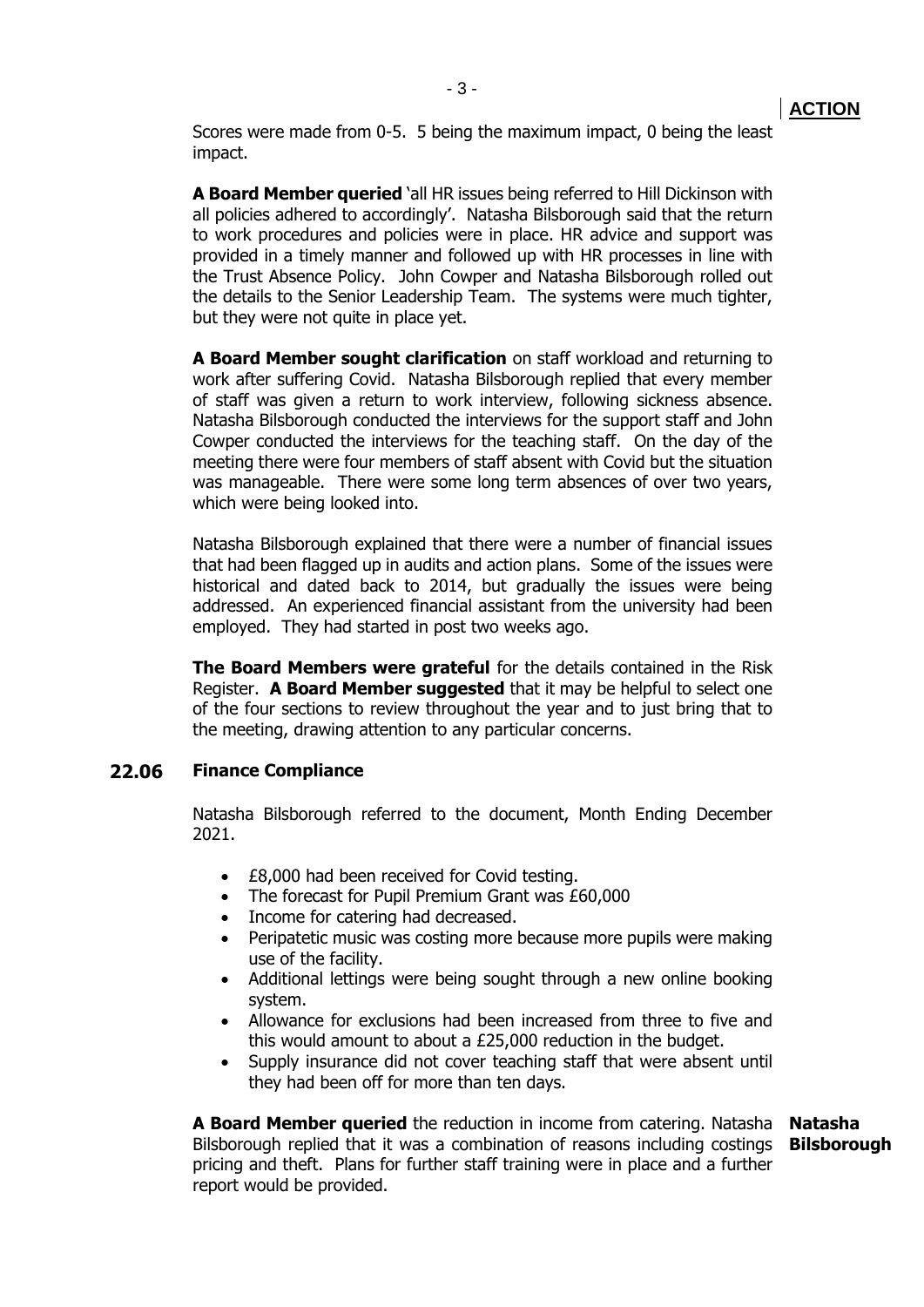Scores were made from 0-5. 5 being the maximum impact, 0 being the least impact.

**A Board Member queried** 'all HR issues being referred to Hill Dickinson with all policies adhered to accordingly'. Natasha Bilsborough said that the return to work procedures and policies were in place. HR advice and support was provided in a timely manner and followed up with HR processes in line with the Trust Absence Policy. John Cowper and Natasha Bilsborough rolled out the details to the Senior Leadership Team. The systems were much tighter, but they were not quite in place yet.

**A Board Member sought clarification** on staff workload and returning to work after suffering Covid. Natasha Bilsborough replied that every member of staff was given a return to work interview, following sickness absence. Natasha Bilsborough conducted the interviews for the support staff and John Cowper conducted the interviews for the teaching staff. On the day of the meeting there were four members of staff absent with Covid but the situation was manageable. There were some long term absences of over two years, which were being looked into.

Natasha Bilsborough explained that there were a number of financial issues that had been flagged up in audits and action plans. Some of the issues were historical and dated back to 2014, but gradually the issues were being addressed. An experienced financial assistant from the university had been employed. They had started in post two weeks ago.

**The Board Members were grateful** for the details contained in the Risk Register. **A Board Member suggested** that it may be helpful to select one of the four sections to review throughout the year and to just bring that to the meeting, drawing attention to any particular concerns.

#### **22.06 Finance Compliance**

Natasha Bilsborough referred to the document, Month Ending December 2021.

- **£8,000 had been received for Covid testing.**
- The forecast for Pupil Premium Grant was £60,000
- Income for catering had decreased.
- Peripatetic music was costing more because more pupils were making use of the facility.
- Additional lettings were being sought through a new online booking system.
- Allowance for exclusions had been increased from three to five and this would amount to about a £25,000 reduction in the budget.
- Supply insurance did not cover teaching staff that were absent until they had been off for more than ten days.

**A Board Member queried** the reduction in income from catering. Natasha **Natasha**  Bilsborough replied that it was a combination of reasons including costings **Bilsborough**pricing and theft. Plans for further staff training were in place and a further report would be provided.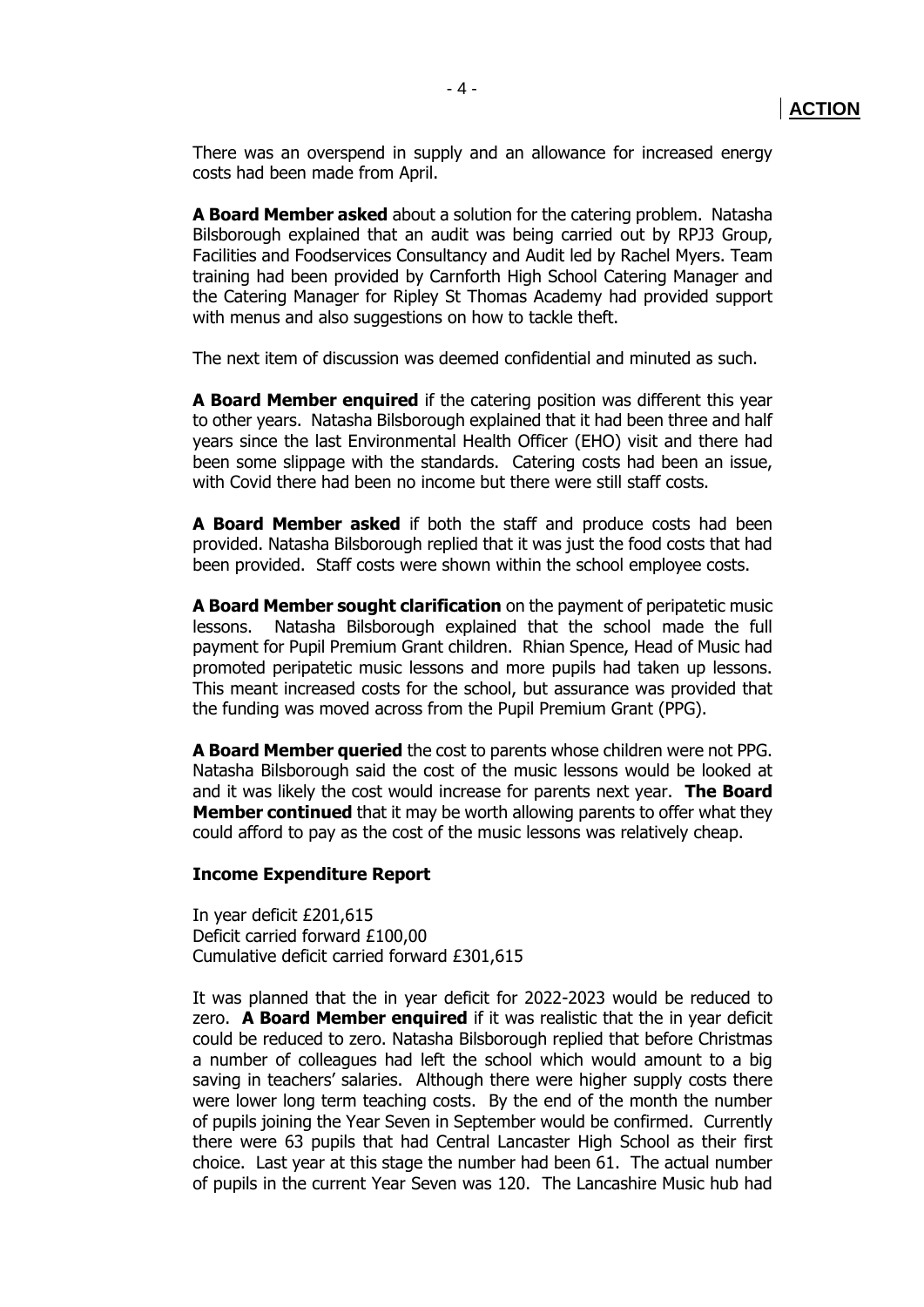There was an overspend in supply and an allowance for increased energy costs had been made from April.

**A Board Member asked** about a solution for the catering problem. Natasha Bilsborough explained that an audit was being carried out by RPJ3 Group, Facilities and Foodservices Consultancy and Audit led by Rachel Myers. Team training had been provided by Carnforth High School Catering Manager and the Catering Manager for Ripley St Thomas Academy had provided support with menus and also suggestions on how to tackle theft.

The next item of discussion was deemed confidential and minuted as such.

**A Board Member enquired** if the catering position was different this year to other years. Natasha Bilsborough explained that it had been three and half years since the last Environmental Health Officer (EHO) visit and there had been some slippage with the standards. Catering costs had been an issue, with Covid there had been no income but there were still staff costs.

**A Board Member asked** if both the staff and produce costs had been provided. Natasha Bilsborough replied that it was just the food costs that had been provided. Staff costs were shown within the school employee costs.

**A Board Member sought clarification** on the payment of peripatetic music lessons. Natasha Bilsborough explained that the school made the full payment for Pupil Premium Grant children. Rhian Spence, Head of Music had promoted peripatetic music lessons and more pupils had taken up lessons. This meant increased costs for the school, but assurance was provided that the funding was moved across from the Pupil Premium Grant (PPG).

**A Board Member queried** the cost to parents whose children were not PPG. Natasha Bilsborough said the cost of the music lessons would be looked at and it was likely the cost would increase for parents next year. **The Board Member continued** that it may be worth allowing parents to offer what they could afford to pay as the cost of the music lessons was relatively cheap.

#### **Income Expenditure Report**

In year deficit £201,615 Deficit carried forward £100,00 Cumulative deficit carried forward £301,615

It was planned that the in year deficit for 2022-2023 would be reduced to zero. **A Board Member enquired** if it was realistic that the in year deficit could be reduced to zero. Natasha Bilsborough replied that before Christmas a number of colleagues had left the school which would amount to a big saving in teachers' salaries. Although there were higher supply costs there were lower long term teaching costs. By the end of the month the number of pupils joining the Year Seven in September would be confirmed. Currently there were 63 pupils that had Central Lancaster High School as their first choice. Last year at this stage the number had been 61. The actual number of pupils in the current Year Seven was 120. The Lancashire Music hub had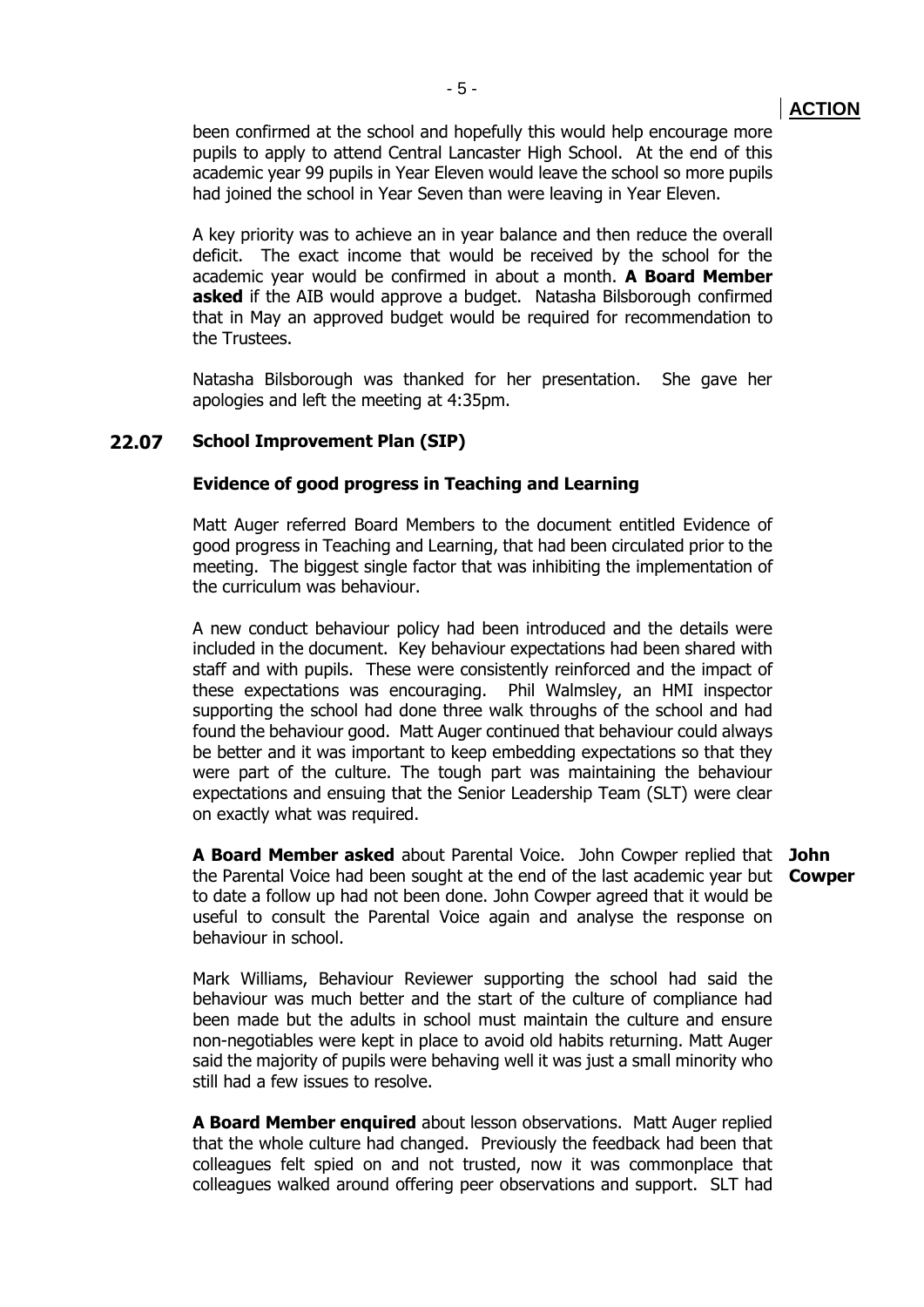been confirmed at the school and hopefully this would help encourage more pupils to apply to attend Central Lancaster High School. At the end of this academic year 99 pupils in Year Eleven would leave the school so more pupils had joined the school in Year Seven than were leaving in Year Eleven.

A key priority was to achieve an in year balance and then reduce the overall deficit. The exact income that would be received by the school for the academic year would be confirmed in about a month. **A Board Member asked** if the AIB would approve a budget. Natasha Bilsborough confirmed that in May an approved budget would be required for recommendation to the Trustees.

Natasha Bilsborough was thanked for her presentation. She gave her apologies and left the meeting at 4:35pm.

#### **22.07 School Improvement Plan (SIP)**

still had a few issues to resolve.

#### **Evidence of good progress in Teaching and Learning**

Matt Auger referred Board Members to the document entitled Evidence of good progress in Teaching and Learning, that had been circulated prior to the meeting. The biggest single factor that was inhibiting the implementation of the curriculum was behaviour.

A new conduct behaviour policy had been introduced and the details were included in the document. Key behaviour expectations had been shared with staff and with pupils. These were consistently reinforced and the impact of these expectations was encouraging. Phil Walmsley, an HMI inspector supporting the school had done three walk throughs of the school and had found the behaviour good. Matt Auger continued that behaviour could always be better and it was important to keep embedding expectations so that they were part of the culture. The tough part was maintaining the behaviour expectations and ensuing that the Senior Leadership Team (SLT) were clear on exactly what was required.

**A Board Member asked** about Parental Voice. John Cowper replied that **John**  the Parental Voice had been sought at the end of the last academic year but **Cowper** to date a follow up had not been done. John Cowper agreed that it would be useful to consult the Parental Voice again and analyse the response on behaviour in school.

Mark Williams, Behaviour Reviewer supporting the school had said the behaviour was much better and the start of the culture of compliance had been made but the adults in school must maintain the culture and ensure non-negotiables were kept in place to avoid old habits returning. Matt Auger said the majority of pupils were behaving well it was just a small minority who

**A Board Member enquired** about lesson observations. Matt Auger replied that the whole culture had changed. Previously the feedback had been that colleagues felt spied on and not trusted, now it was commonplace that colleagues walked around offering peer observations and support. SLT had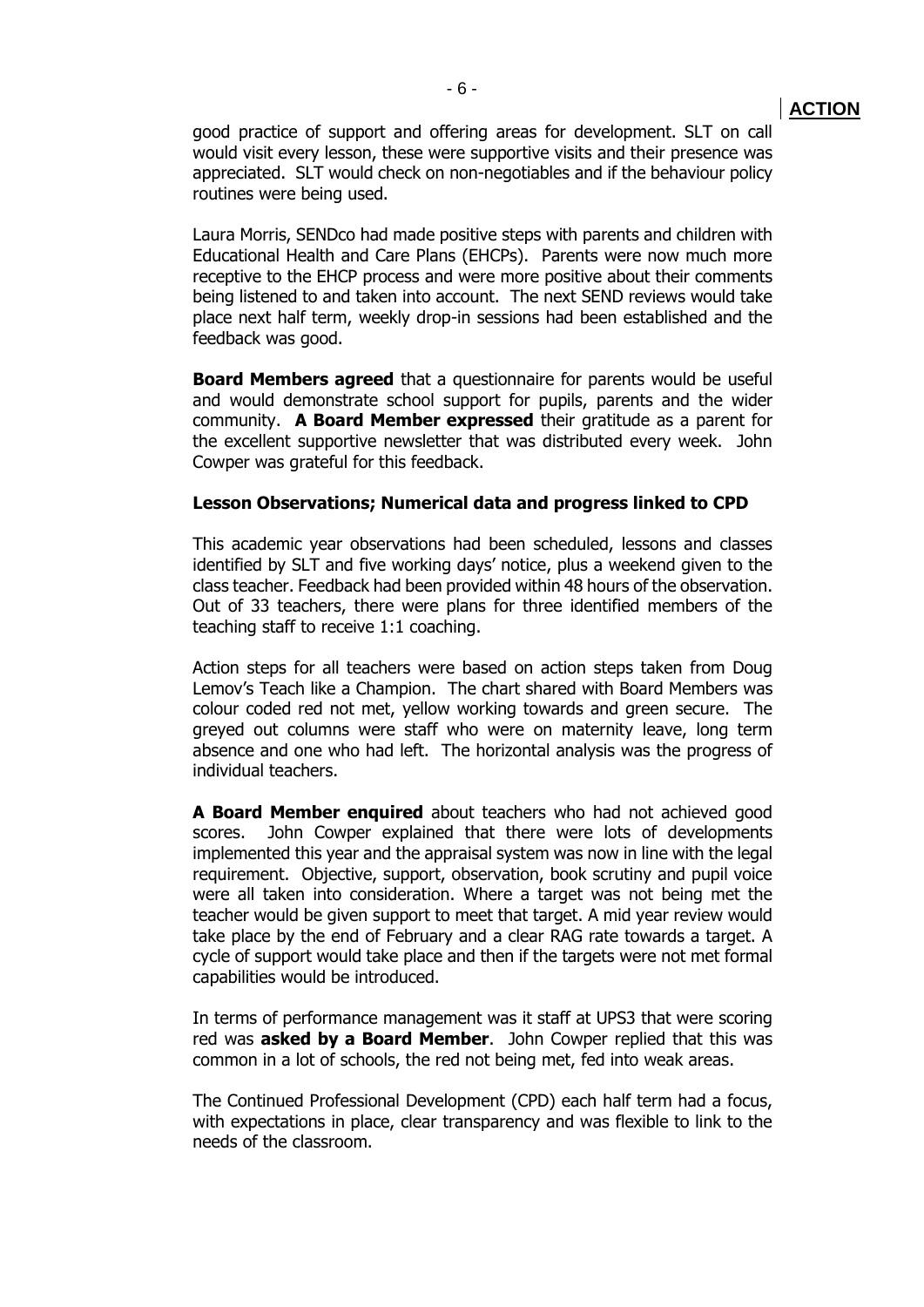good practice of support and offering areas for development. SLT on call would visit every lesson, these were supportive visits and their presence was appreciated. SLT would check on non-negotiables and if the behaviour policy routines were being used.

Laura Morris, SENDco had made positive steps with parents and children with Educational Health and Care Plans (EHCPs). Parents were now much more receptive to the EHCP process and were more positive about their comments being listened to and taken into account. The next SEND reviews would take place next half term, weekly drop-in sessions had been established and the feedback was good.

**Board Members agreed** that a questionnaire for parents would be useful and would demonstrate school support for pupils, parents and the wider community. **A Board Member expressed** their gratitude as a parent for the excellent supportive newsletter that was distributed every week. John Cowper was grateful for this feedback.

#### **Lesson Observations; Numerical data and progress linked to CPD**

This academic year observations had been scheduled, lessons and classes identified by SLT and five working days' notice, plus a weekend given to the class teacher. Feedback had been provided within 48 hours of the observation. Out of 33 teachers, there were plans for three identified members of the teaching staff to receive 1:1 coaching.

Action steps for all teachers were based on action steps taken from Doug Lemov's Teach like a Champion. The chart shared with Board Members was colour coded red not met, yellow working towards and green secure. The greyed out columns were staff who were on maternity leave, long term absence and one who had left. The horizontal analysis was the progress of individual teachers.

**A Board Member enquired** about teachers who had not achieved good scores. John Cowper explained that there were lots of developments implemented this year and the appraisal system was now in line with the legal requirement. Objective, support, observation, book scrutiny and pupil voice were all taken into consideration. Where a target was not being met the teacher would be given support to meet that target. A mid year review would take place by the end of February and a clear RAG rate towards a target. A cycle of support would take place and then if the targets were not met formal capabilities would be introduced.

In terms of performance management was it staff at UPS3 that were scoring red was **asked by a Board Member**. John Cowper replied that this was common in a lot of schools, the red not being met, fed into weak areas.

The Continued Professional Development (CPD) each half term had a focus, with expectations in place, clear transparency and was flexible to link to the needs of the classroom.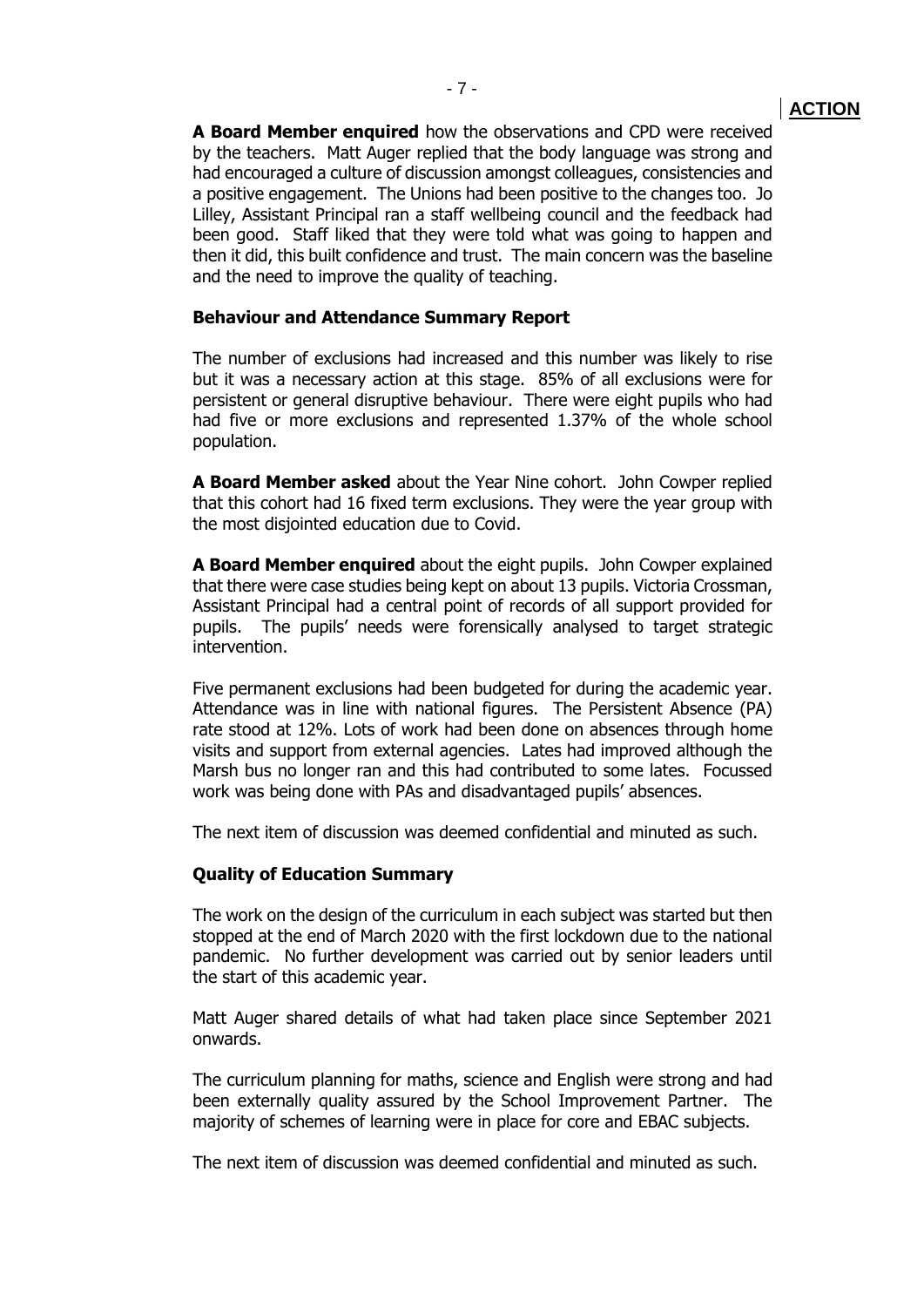**A Board Member enquired** how the observations and CPD were received by the teachers. Matt Auger replied that the body language was strong and had encouraged a culture of discussion amongst colleagues, consistencies and a positive engagement. The Unions had been positive to the changes too. Jo Lilley, Assistant Principal ran a staff wellbeing council and the feedback had been good. Staff liked that they were told what was going to happen and then it did, this built confidence and trust. The main concern was the baseline and the need to improve the quality of teaching.

#### **Behaviour and Attendance Summary Report**

The number of exclusions had increased and this number was likely to rise but it was a necessary action at this stage. 85% of all exclusions were for persistent or general disruptive behaviour. There were eight pupils who had had five or more exclusions and represented 1.37% of the whole school population.

**A Board Member asked** about the Year Nine cohort. John Cowper replied that this cohort had 16 fixed term exclusions. They were the year group with the most disjointed education due to Covid.

**A Board Member enquired** about the eight pupils. John Cowper explained that there were case studies being kept on about 13 pupils. Victoria Crossman, Assistant Principal had a central point of records of all support provided for pupils. The pupils' needs were forensically analysed to target strategic intervention.

Five permanent exclusions had been budgeted for during the academic year. Attendance was in line with national figures. The Persistent Absence (PA) rate stood at 12%. Lots of work had been done on absences through home visits and support from external agencies. Lates had improved although the Marsh bus no longer ran and this had contributed to some lates. Focussed work was being done with PAs and disadvantaged pupils' absences.

The next item of discussion was deemed confidential and minuted as such.

#### **Quality of Education Summary**

The work on the design of the curriculum in each subject was started but then stopped at the end of March 2020 with the first lockdown due to the national pandemic. No further development was carried out by senior leaders until the start of this academic year.

Matt Auger shared details of what had taken place since September 2021 onwards.

The curriculum planning for maths, science and English were strong and had been externally quality assured by the School Improvement Partner. The majority of schemes of learning were in place for core and EBAC subjects.

The next item of discussion was deemed confidential and minuted as such.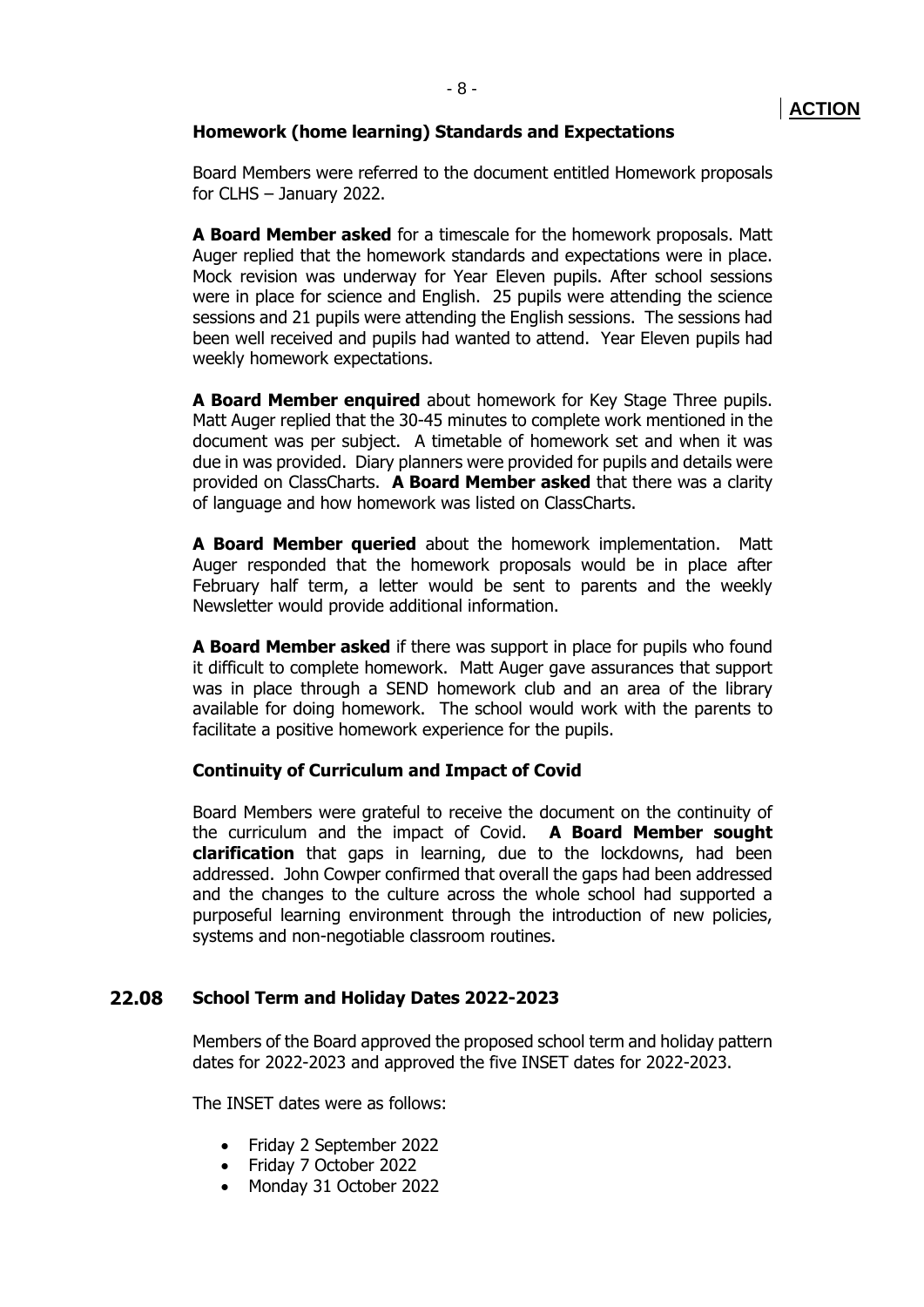#### **Homework (home learning) Standards and Expectations**

Board Members were referred to the document entitled Homework proposals for CLHS – January 2022.

**A Board Member asked** for a timescale for the homework proposals. Matt Auger replied that the homework standards and expectations were in place. Mock revision was underway for Year Eleven pupils. After school sessions were in place for science and English. 25 pupils were attending the science sessions and 21 pupils were attending the English sessions. The sessions had been well received and pupils had wanted to attend. Year Eleven pupils had weekly homework expectations.

**A Board Member enquired** about homework for Key Stage Three pupils. Matt Auger replied that the 30-45 minutes to complete work mentioned in the document was per subject. A timetable of homework set and when it was due in was provided. Diary planners were provided for pupils and details were provided on ClassCharts. **A Board Member asked** that there was a clarity of language and how homework was listed on ClassCharts.

**A Board Member queried** about the homework implementation. Matt Auger responded that the homework proposals would be in place after February half term, a letter would be sent to parents and the weekly Newsletter would provide additional information.

**A Board Member asked** if there was support in place for pupils who found it difficult to complete homework. Matt Auger gave assurances that support was in place through a SEND homework club and an area of the library available for doing homework. The school would work with the parents to facilitate a positive homework experience for the pupils.

#### **Continuity of Curriculum and Impact of Covid**

Board Members were grateful to receive the document on the continuity of the curriculum and the impact of Covid. **A Board Member sought clarification** that gaps in learning, due to the lockdowns, had been addressed. John Cowper confirmed that overall the gaps had been addressed and the changes to the culture across the whole school had supported a purposeful learning environment through the introduction of new policies, systems and non-negotiable classroom routines.

#### **22.08 School Term and Holiday Dates 2022-2023**

Members of the Board approved the proposed school term and holiday pattern dates for 2022-2023 and approved the five INSET dates for 2022-2023.

The INSET dates were as follows:

- Friday 2 September 2022
- Friday 7 October 2022
- Monday 31 October 2022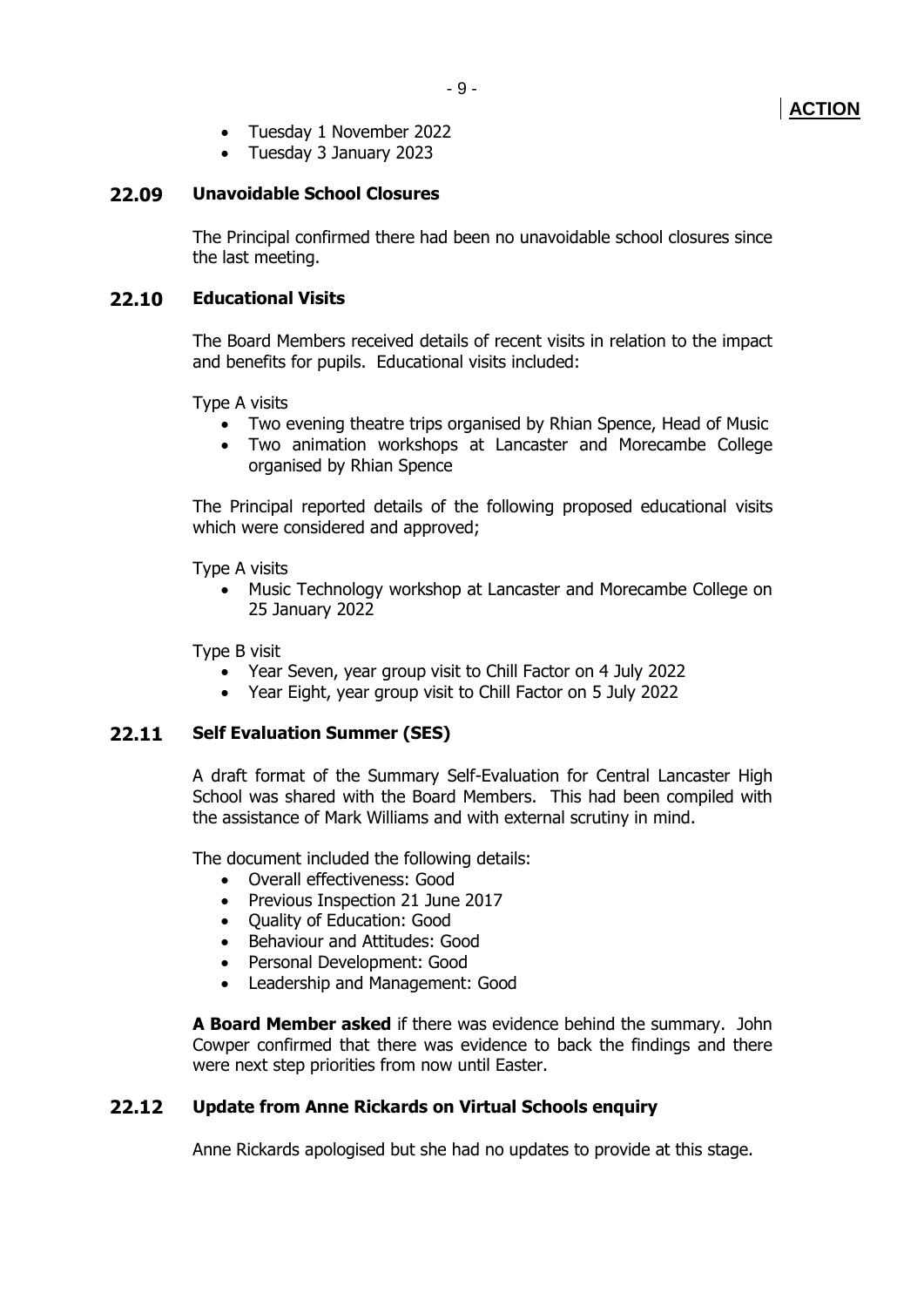- Tuesday 1 November 2022
- Tuesday 3 January 2023

## **22.09 Unavoidable School Closures**

The Principal confirmed there had been no unavoidable school closures since the last meeting.

# **22.10 Educational Visits**

The Board Members received details of recent visits in relation to the impact and benefits for pupils. Educational visits included:

Type A visits

- Two evening theatre trips organised by Rhian Spence, Head of Music
- Two animation workshops at Lancaster and Morecambe College organised by Rhian Spence

The Principal reported details of the following proposed educational visits which were considered and approved;

Type A visits

• Music Technology workshop at Lancaster and Morecambe College on 25 January 2022

Type B visit

- Year Seven, year group visit to Chill Factor on 4 July 2022
- Year Eight, year group visit to Chill Factor on 5 July 2022

# **22.11 Self Evaluation Summer (SES)**

A draft format of the Summary Self-Evaluation for Central Lancaster High School was shared with the Board Members. This had been compiled with the assistance of Mark Williams and with external scrutiny in mind.

The document included the following details:

- Overall effectiveness: Good
- Previous Inspection 21 June 2017
- Quality of Education: Good
- Behaviour and Attitudes: Good
- Personal Development: Good
- Leadership and Management: Good

**A Board Member asked** if there was evidence behind the summary. John Cowper confirmed that there was evidence to back the findings and there were next step priorities from now until Easter.

# **22.12 Update from Anne Rickards on Virtual Schools enquiry**

Anne Rickards apologised but she had no updates to provide at this stage.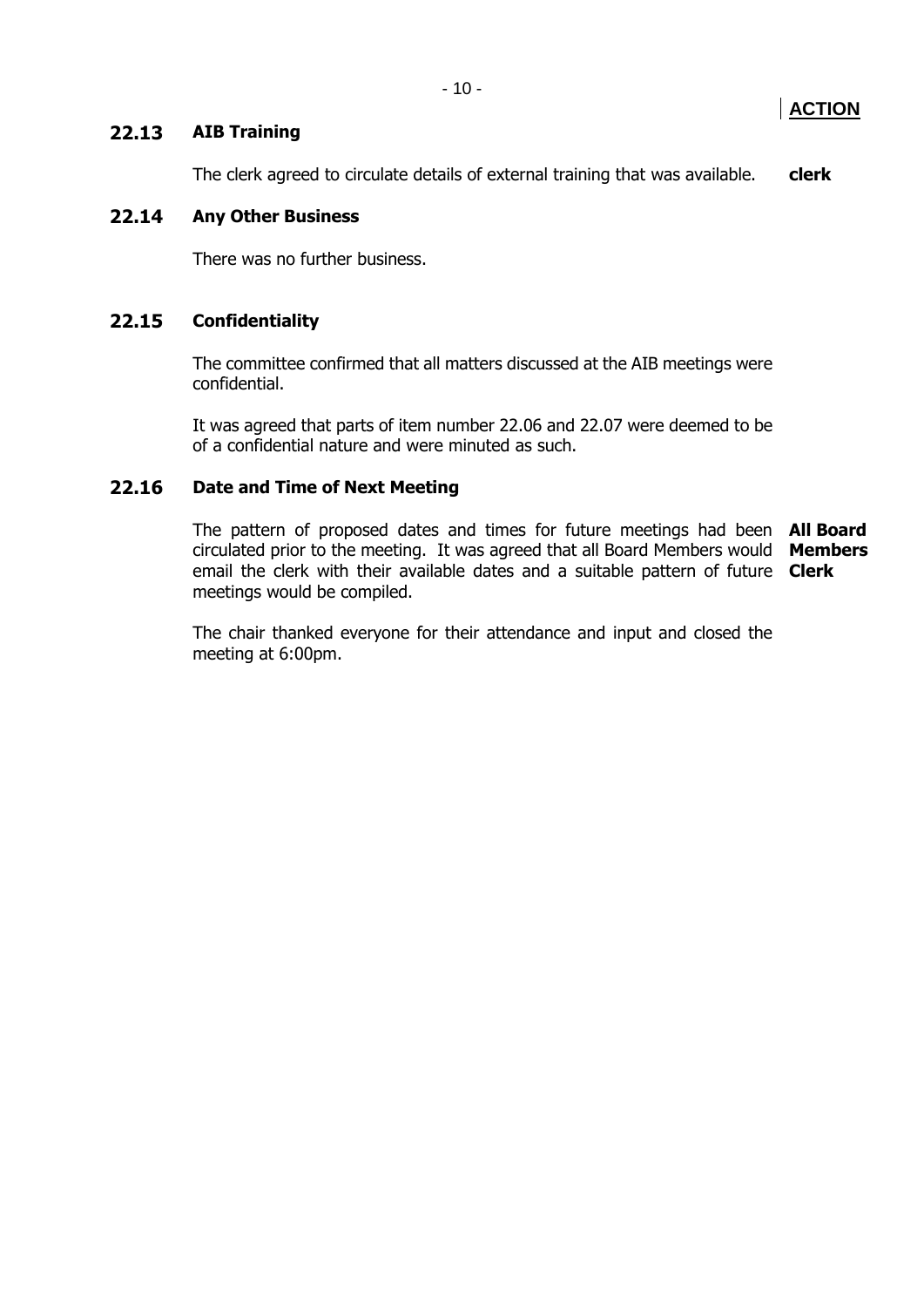# **22.13 AIB Training**

The clerk agreed to circulate details of external training that was available. **clerk**

# **22.14 Any Other Business**

There was no further business.

# **22.15 Confidentiality**

The committee confirmed that all matters discussed at the AIB meetings were confidential.

It was agreed that parts of item number 22.06 and 22.07 were deemed to be of a confidential nature and were minuted as such.

# **22.16 Date and Time of Next Meeting**

The pattern of proposed dates and times for future meetings had been **All Board**  circulated prior to the meeting. It was agreed that all Board Members would **Members** email the clerk with their available dates and a suitable pattern of future **Clerk**meetings would be compiled.

The chair thanked everyone for their attendance and input and closed the meeting at 6:00pm.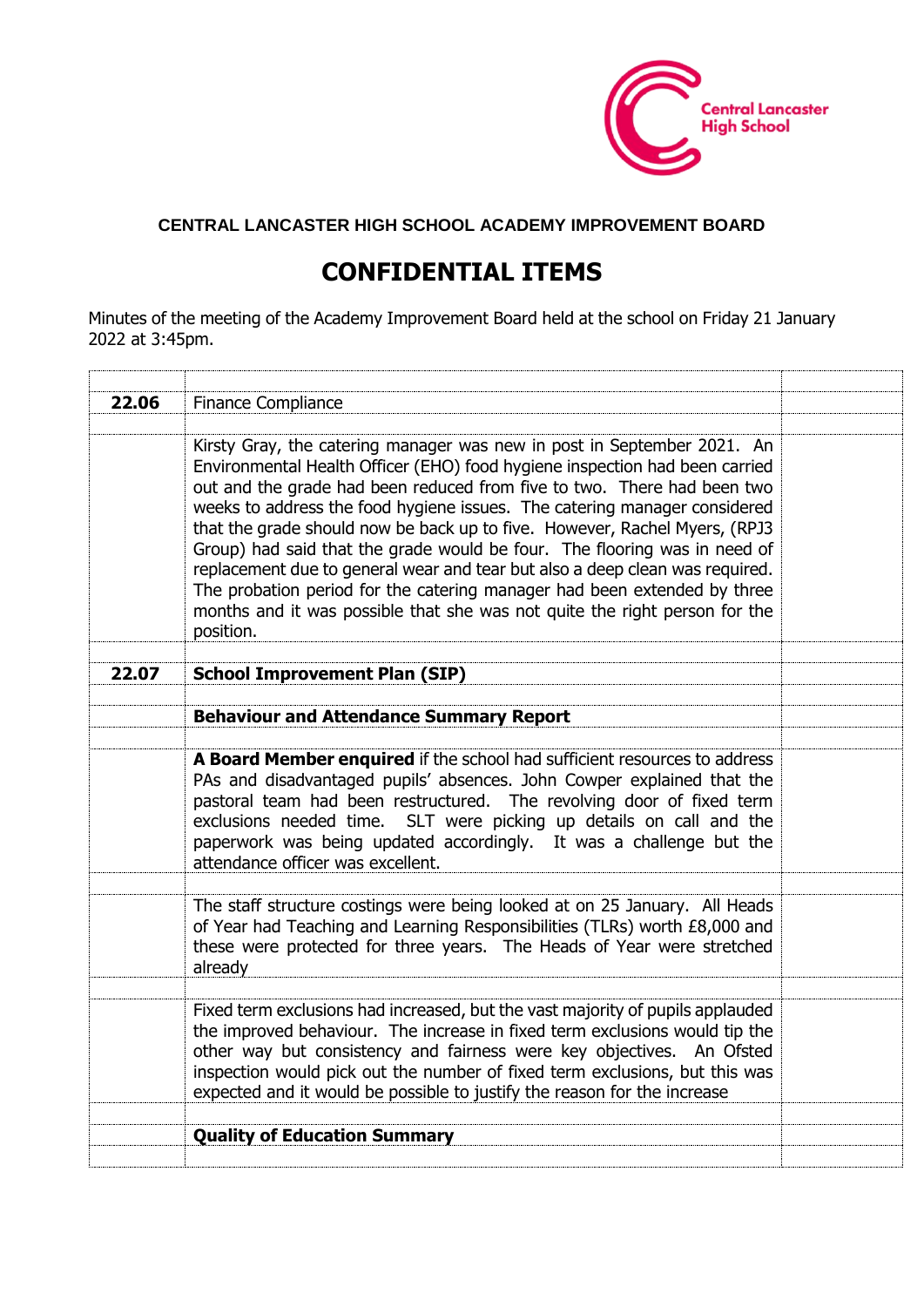

# **CENTRAL LANCASTER HIGH SCHOOL ACADEMY IMPROVEMENT BOARD**

# **CONFIDENTIAL ITEMS**

Minutes of the meeting of the Academy Improvement Board held at the school on Friday 21 January 2022 at 3:45pm.

| 22.06 | Finance Compliance                                                                                                                                                                                                                                                                                                                                                                                                                                                                                                                                                                                                                                                                                                               |  |
|-------|----------------------------------------------------------------------------------------------------------------------------------------------------------------------------------------------------------------------------------------------------------------------------------------------------------------------------------------------------------------------------------------------------------------------------------------------------------------------------------------------------------------------------------------------------------------------------------------------------------------------------------------------------------------------------------------------------------------------------------|--|
|       |                                                                                                                                                                                                                                                                                                                                                                                                                                                                                                                                                                                                                                                                                                                                  |  |
|       | Kirsty Gray, the catering manager was new in post in September 2021. An<br>Environmental Health Officer (EHO) food hygiene inspection had been carried<br>out and the grade had been reduced from five to two. There had been two<br>weeks to address the food hygiene issues. The catering manager considered<br>that the grade should now be back up to five. However, Rachel Myers, (RPJ3<br>Group) had said that the grade would be four. The flooring was in need of<br>replacement due to general wear and tear but also a deep clean was required.<br>The probation period for the catering manager had been extended by three<br>months and it was possible that she was not quite the right person for the<br>position. |  |
| 22.07 | <b>School Improvement Plan (SIP)</b>                                                                                                                                                                                                                                                                                                                                                                                                                                                                                                                                                                                                                                                                                             |  |
|       |                                                                                                                                                                                                                                                                                                                                                                                                                                                                                                                                                                                                                                                                                                                                  |  |
|       | <b>Behaviour and Attendance Summary Report</b>                                                                                                                                                                                                                                                                                                                                                                                                                                                                                                                                                                                                                                                                                   |  |
|       |                                                                                                                                                                                                                                                                                                                                                                                                                                                                                                                                                                                                                                                                                                                                  |  |
|       | A Board Member enquired if the school had sufficient resources to address<br>PAs and disadvantaged pupils' absences. John Cowper explained that the<br>pastoral team had been restructured. The revolving door of fixed term<br>exclusions needed time. SLT were picking up details on call and the<br>paperwork was being updated accordingly. It was a challenge but the<br>attendance officer was excellent.                                                                                                                                                                                                                                                                                                                  |  |
|       | The staff structure costings were being looked at on 25 January. All Heads<br>of Year had Teaching and Learning Responsibilities (TLRs) worth £8,000 and<br>these were protected for three years. The Heads of Year were stretched<br>already                                                                                                                                                                                                                                                                                                                                                                                                                                                                                    |  |
|       |                                                                                                                                                                                                                                                                                                                                                                                                                                                                                                                                                                                                                                                                                                                                  |  |
|       | Fixed term exclusions had increased, but the vast majority of pupils applauded<br>the improved behaviour. The increase in fixed term exclusions would tip the<br>other way but consistency and fairness were key objectives. An Ofsted<br>inspection would pick out the number of fixed term exclusions, but this was<br>expected and it would be possible to justify the reason for the increase                                                                                                                                                                                                                                                                                                                                |  |
|       |                                                                                                                                                                                                                                                                                                                                                                                                                                                                                                                                                                                                                                                                                                                                  |  |
|       | <b>Quality of Education Summary</b>                                                                                                                                                                                                                                                                                                                                                                                                                                                                                                                                                                                                                                                                                              |  |
|       |                                                                                                                                                                                                                                                                                                                                                                                                                                                                                                                                                                                                                                                                                                                                  |  |